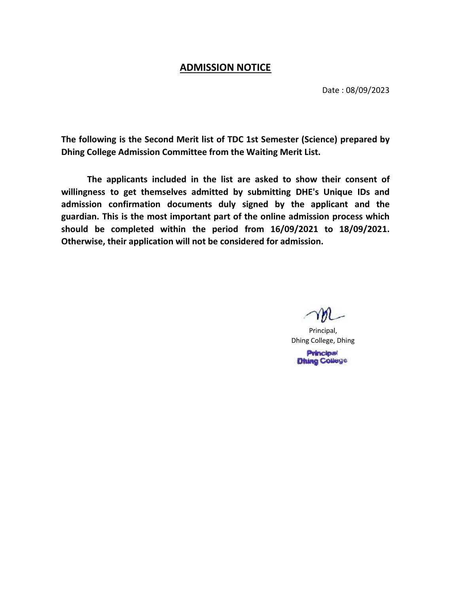## ADMISSION NOTICE

Date : 08/09/2023

The following is the Second Merit list of TDC 1st Semester (Science) prepared by Dhing College Admission Committee from the Waiting Merit List.

The applicants included in the list are asked to show their consent of willingness to get themselves admitted by submitting DHE's Unique IDs and admission confirmation documents duly signed by the applicant and the guardian. This is the most important part of the online admission process which should be completed within the period from 16/09/2021 to 18/09/2021. Otherwise, their application will not be considered for admission.

Principal, Dhing College, Dhing **Principal** 

**Dhing College**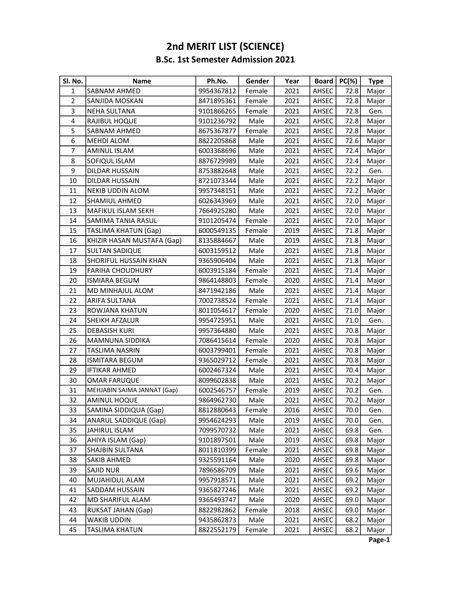## B.Sc. 1st Semester Admission 2021 2nd MERIT LIST (SCIENCE)

| SI. No.                 | Name                         | Ph.No.     | Gender | Year | <b>Board</b> | $PC(\%)$ | <b>Type</b> |
|-------------------------|------------------------------|------------|--------|------|--------------|----------|-------------|
| $\mathbf{1}$            | <b>SABNAM AHMED</b>          | 9954367812 | Female | 2021 | AHSEC        | 72.8     | Major       |
| $\overline{2}$          | SANJIDA MOSKAN               | 8471895361 | Female | 2021 | AHSEC        | 72.8     | Major       |
| 3                       | NEHA SULTANA                 | 9101866265 | Female | 2021 | AHSEC        | 72.8     | Gen.        |
| $\overline{\mathbf{4}}$ | RAJIBUL HOQUE                | 9101236792 | Male   | 2021 | AHSEC        | 72.8     | Major       |
| 5                       | SABNAM AHMED                 | 8675367877 | Female | 2021 | AHSEC        | 72.8     | Major       |
| 6                       | <b>MEHDI ALOM</b>            | 8822205868 | Male   | 2021 | AHSEC        | 72.6     | Major       |
| $\overline{7}$          | AMINUL ISLAM                 | 6003368696 | Male   | 2021 | AHSEC        | 72.4     | Major       |
| 8                       | SOFIQUL ISLAM                | 8876729989 | Male   | 2021 | AHSEC        | 72.4     | Major       |
| 9                       | DILDAR HUSSAIN               | 8753882648 | Male   | 2021 | AHSEC        | 72.2     | Gen.        |
| 10                      | DILDAR HUSSAIN               | 8721073344 | Male   | 2021 | AHSEC        | 72.2     | Major       |
| 11                      | <b>NEKIB UDDIN ALOM</b>      | 9957348151 | Male   | 2021 | AHSEC        | 72.2     | Major       |
| 12                      | SHAMIUL AHMED                | 6026343969 | Male   | 2021 | AHSEC        | 72.0     | Major       |
| 13                      | MAFIKUL ISLAM SEKH           | 7664925280 | Male   | 2021 | AHSEC        | 72.0     | Major       |
| 14                      | SAMIMA TANIA RASUL           | 9101205474 | Female | 2021 | AHSEC        | 72.0     | Major       |
| 15                      | <b>TASLIMA KHATUN (Gap)</b>  | 6000549135 | Female | 2019 | AHSEC        | 71.8     | Major       |
| 16                      | KHIZIR HASAN MUSTAFA (Gap)   | 8135884667 | Male   | 2019 | AHSEC        | 71.8     | Major       |
| 17                      | <b>SULTAN SADIQUE</b>        | 6003159512 | Male   | 2021 | AHSEC        | 71.8     | Major       |
| 18                      | SHORIFUL HUSSAIN KHAN        | 9365906404 | Male   | 2021 | AHSEC        | 71.8     | Major       |
| 19                      | <b>FARIHA CHOUDHURY</b>      | 6003915184 | Female | 2021 | AHSEC        | 71.4     | Major       |
| 20                      | <b>ISMIARA BEGUM</b>         | 9864148803 | Female | 2020 | AHSEC        | 71.4     | Major       |
| 21                      | MD MINHAJUL ALOM             | 8471942186 | Male   | 2021 | AHSEC        | 71.4     | Major       |
| 22                      | <b>ARIFA SULTANA</b>         | 7002738524 | Female | 2021 | AHSEC        | 71.4     | Major       |
| 23                      | ROWJANA KHATUN               | 8011054617 | Female | 2020 | AHSEC        | 71.0     | Major       |
| 24                      | <b>SHEIKH AFZALUR</b>        | 9954725951 | Male   | 2021 | AHSEC        | 71.0     | Gen.        |
| 25                      | <b>DEBASISH KURI</b>         | 9957364880 | Male   | 2021 | AHSEC        | 70.8     | Major       |
| 26                      | MAMNUNA SIDDIKA              | 7086415614 | Female | 2020 | AHSEC        | 70.8     | Major       |
| 27                      | TASLIMA NASRIN               | 6003799401 | Female | 2021 | AHSEC        | 70.8     | Major       |
| 28                      | <b>ISMITARA BEGUM</b>        | 9365029712 | Female | 2021 | AHSEC        | 70.8     | Major       |
| 29                      | <b>IFTIKAR AHMED</b>         | 6002467324 | Male   | 2021 | AHSEC        | 70.4     | Major       |
| 30                      | <b>OMAR FARUQUE</b>          | 8099602838 | Male   | 2021 | AHSEC        | 70.2     | Major       |
| 31                      | MEHJABIN SAIMA JANNAT (Gap)  | 6002546757 | Female | 2019 | AHSEC        | 70.2     | Gen.        |
| 32                      | <b>AMINUL HOQUE</b>          | 9864962730 | Male   | 2021 | AHSEC        | 70.2     | Major       |
| 33                      | SAMINA SIDDIQUA (Gap)        | 8812880643 | Female | 2016 | AHSEC        | 70.0     | Gen.        |
| 34                      | <b>ANARUL SADDIQUE (Gap)</b> | 9954624293 | Male   | 2019 | AHSEC        | 70.0     | Gen.        |
| 35                      | JAHIRUL ISLAM                | 7099570732 | Male   | 2021 | AHSEC        | 69.8     | Gen.        |
| 36                      | AHIYA ISLAM (Gap)            | 9101897501 | Male   | 2019 | AHSEC        | 69.8     | Major       |
| 37                      | SHAJBIN SULTANA              | 8011810399 | Female | 2021 | AHSEC        | 69.8     | Major       |
| 38                      | <b>SAKIB AHMED</b>           | 9325591164 | Male   | 2020 | AHSEC        | 69.8     | Major       |
| 39                      | SAJID NUR                    | 7896586709 | Male   | 2021 | AHSEC        | 69.6     | Major       |
| 40                      | MUJAHIDUL ALAM               | 9957918571 | Male   | 2021 | AHSEC        | 69.2     | Major       |
| 41                      | SADDAM HUSSAIN               | 9365827246 | Male   | 2021 | AHSEC        | 69.2     | Major       |
| 42                      | MD SHARIFUL ALAM             | 9365493747 | Male   | 2020 | AHSEC        | 69.0     | Major       |
| 43                      | RUKSAT JAHAN (Gap)           | 8822982862 | Female | 2018 | AHSEC        | 69.0     | Major       |
| 44                      | WAKIB UDDIN                  | 9435862873 | Male   | 2021 | AHSEC        | 68.2     | Major       |
| 45                      | <b>TASLIMA KHATUN</b>        | 8822552179 | Female | 2021 | AHSEC        | 68.2     | Major       |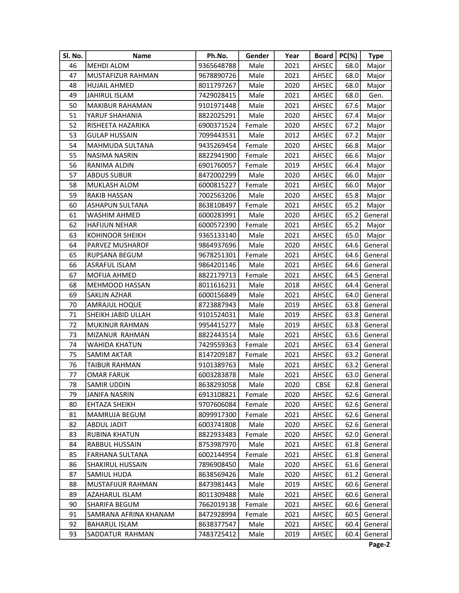| SI. No. | <b>Name</b>            | Ph.No.     | Gender | Year |             | Board   $PC(\%)$ | <b>Type</b>  |
|---------|------------------------|------------|--------|------|-------------|------------------|--------------|
| 46      | <b>MEHDI ALOM</b>      | 9365648788 | Male   | 2021 | AHSEC       | 68.0             | Major        |
| 47      | MUSTAFIZUR RAHMAN      | 9678890726 | Male   | 2021 | AHSEC       | 68.0             | Major        |
| 48      | <b>HUJAIL AHMED</b>    | 8011797267 | Male   | 2020 | AHSEC       | 68.0             | Major        |
| 49      | <b>JAHIRUL ISLAM</b>   | 7429028415 | Male   | 2021 | AHSEC       | 68.0             | Gen.         |
| 50      | <b>MAKIBUR RAHAMAN</b> | 9101971448 | Male   | 2021 | AHSEC       | 67.6             | Major        |
| 51      | YARUF SHAHANIA         | 8822025291 | Male   | 2020 | AHSEC       | 67.4             | Major        |
| 52      | RISHEETA HAZARIKA      | 6900371524 | Female | 2020 | AHSEC       | 67.2             | Major        |
| 53      | <b>GULAP HUSSAIN</b>   | 7099443531 | Male   | 2012 | AHSEC       | 67.2             | Major        |
| 54      | MAHMUDA SULTANA        | 9435269454 | Female | 2020 | AHSEC       | 66.8             | Major        |
| 55      | <b>NASIMA NASRIN</b>   | 8822941900 | Female | 2021 | AHSEC       | 66.6             | Major        |
| 56      | RANIMA ALDIN           | 6901760057 | Female | 2019 | AHSEC       | 66.4             | Major        |
| 57      | <b>ABDUS SUBUR</b>     | 8472002299 | Male   | 2020 | AHSEC       | 66.0             | Major        |
| 58      | MUKLASH ALOM           | 6000815227 | Female | 2021 | AHSEC       | 66.0             | Major        |
| 59      | RAKIB HASSAN           | 7002563206 | Male   | 2020 | AHSEC       | 65.8             | Major        |
| 60      | <b>ASHAPUN SULTANA</b> | 8638108497 | Female | 2021 | AHSEC       | 65.2             | Major        |
| 61      | WASHIM AHMED           | 6000283991 | Male   | 2020 | AHSEC       | 65.2             | General      |
| 62      | <b>HAFIJUN NEHAR</b>   | 6000572390 | Female | 2021 | AHSEC       | 65.2             | Major        |
| 63      | <b>KOHINOOR SHEIKH</b> | 9365133140 | Male   | 2021 | AHSEC       | 65.0             | Major        |
| 64      | PARVEZ MUSHAROF        | 9864937696 | Male   | 2020 | AHSEC       | 64.6             | General      |
| 65      | RUPSANA BEGUM          | 9678251301 | Female | 2021 | AHSEC       | 64.6             | General      |
| 66      | ASRAFUL ISLAM          | 9864201146 | Male   | 2021 | AHSEC       | 64.6             | General      |
| 67      | MOFIJA AHMED           | 8822179713 | Female | 2021 | AHSEC       | 64.5             | General      |
| 68      | <b>MEHMOOD HASSAN</b>  | 8011616231 | Male   | 2018 | AHSEC       | 64.4             | General      |
| 69      | <b>SAKLIN AZHAR</b>    | 6000156849 | Male   | 2021 | AHSEC       | 64.0             | General      |
| 70      | <b>AMRAJUL HOQUE</b>   | 8723887943 | Male   | 2019 | AHSEC       | 63.8             | General      |
| 71      | SHEIKH JABID ULLAH     | 9101524031 | Male   | 2019 | AHSEC       | 63.8             | General      |
| 72      | MUKINUR RAHMAN         | 9954415277 | Male   | 2019 | AHSEC       | 63.8             | General      |
| 73      | MIZANUR RAHMAN         | 8822443514 | Male   | 2021 | AHSEC       | 63.6             | General      |
| 74      | <b>WAHIDA KHATUN</b>   | 7429559363 | Female | 2021 | AHSEC       | 63.4             | General      |
| 75      | SAMIM AKTAR            | 8147209187 | Female | 2021 | AHSEC       | 63.2             | General      |
| 76      | TAIBUR RAHMAN          | 9101389763 | Male   | 2021 | AHSEC       | 63.2             | General      |
| 77      | <b>OMAR FARUK</b>      | 6003283878 | Male   | 2021 | AHSEC       | 63.0             | General      |
| 78      | <b>SAMIR UDDIN</b>     | 8638293058 | Male   | 2020 | <b>CBSE</b> |                  | 62.8 General |
| 79      | <b>JANIFA NASRIN</b>   | 6913108821 | Female | 2020 | AHSEC       | 62.6             | General      |
| 80      | EHTAZA SHEIKH          | 9707606084 | Female | 2020 | AHSEC       | 62.6             | General      |
| 81      | MAMRUJA BEGUM          | 8099917300 | Female | 2021 | AHSEC       | 62.6             | General      |
| 82      | ABDUL JADIT            | 6003741808 | Male   | 2020 | AHSEC       | 62.6             | General      |
| 83      | <b>RUBINA KHATUN</b>   | 8822933483 | Female | 2020 | AHSEC       | 62.0             | General      |
| 84      | RABBUL HUSSAIN         | 8753987970 | Male   | 2021 | AHSEC       | 61.8             | General      |
| 85      | <b>FARHANA SULTANA</b> | 6002144954 | Female | 2021 | AHSEC       | 61.8             | General      |
| 86      | SHAKIRUL HUSSAIN       | 7896908450 | Male   | 2020 | AHSEC       | 61.6             | General      |
| 87      | SAMIUL HUDA            | 8638569426 | Male   | 2020 | AHSEC       | 61.2             | General      |
| 88      | MUSTAFIJUR RAHMAN      | 8473981443 | Male   | 2019 | AHSEC       | 60.6             | General      |
| 89      | AZAHARUL ISLAM         | 8011309488 | Male   | 2021 | AHSEC       | 60.6             | General      |
| 90      | SHARIFA BEGUM          | 7662019138 | Female | 2021 | AHSEC       | 60.6             | General      |
| 91      | SAMRANA AFRINA KHANAM  | 8472928994 | Female | 2021 | AHSEC       | 60.5             | General      |
| 92      | <b>BAHARUL ISLAM</b>   | 8638377547 | Male   | 2021 | AHSEC       | 60.4             | General      |
| 93      | SADDATUR RAHMAN        | 7483725412 | Male   | 2019 | AHSEC       | 60.4             | General      |